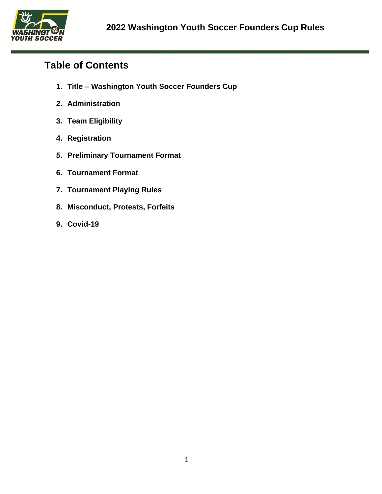

# **Table of Contents**

- **1. Title – Washington Youth Soccer Founders Cup**
- **2. Administration**
- **3. Team Eligibility**
- **4. Registration**
- **5. Preliminary Tournament Format**
- **6. Tournament Format**
- **7. Tournament Playing Rules**
- **8. Misconduct, Protests, Forfeits**
- **9. Covid-19**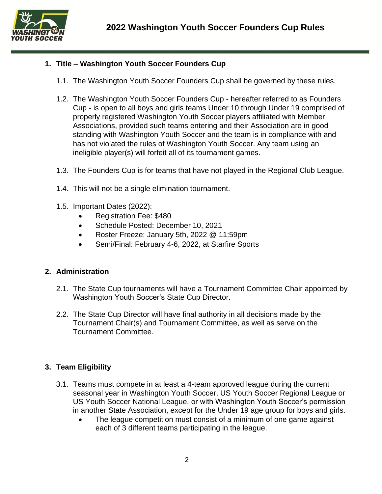

## **1. Title – Washington Youth Soccer Founders Cup**

- 1.1. The Washington Youth Soccer Founders Cup shall be governed by these rules.
- 1.2. The Washington Youth Soccer Founders Cup hereafter referred to as Founders Cup - is open to all boys and girls teams Under 10 through Under 19 comprised of properly registered Washington Youth Soccer players affiliated with Member Associations, provided such teams entering and their Association are in good standing with Washington Youth Soccer and the team is in compliance with and has not violated the rules of Washington Youth Soccer. Any team using an ineligible player(s) will forfeit all of its tournament games.
- 1.3. The Founders Cup is for teams that have not played in the Regional Club League.
- 1.4. This will not be a single elimination tournament.
- 1.5. Important Dates (2022):
	- Registration Fee: \$480
	- Schedule Posted: December 10, 2021
	- Roster Freeze: January 5th, 2022 @ 11:59pm
	- Semi/Final: February 4-6, 2022, at Starfire Sports

### **2. Administration**

- 2.1. The State Cup tournaments will have a Tournament Committee Chair appointed by Washington Youth Soccer's State Cup Director.
- 2.2. The State Cup Director will have final authority in all decisions made by the Tournament Chair(s) and Tournament Committee, as well as serve on the Tournament Committee.

### **3. Team Eligibility**

- 3.1. Teams must compete in at least a 4-team approved league during the current seasonal year in Washington Youth Soccer, US Youth Soccer Regional League or US Youth Soccer National League, or with Washington Youth Soccer's permission in another State Association, except for the Under 19 age group for boys and girls.
	- The league competition must consist of a minimum of one game against each of 3 different teams participating in the league.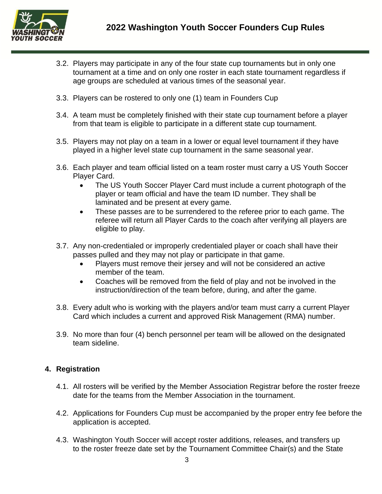

- 3.2. Players may participate in any of the four state cup tournaments but in only one tournament at a time and on only one roster in each state tournament regardless if age groups are scheduled at various times of the seasonal year.
- 3.3. Players can be rostered to only one (1) team in Founders Cup
- 3.4. A team must be completely finished with their state cup tournament before a player from that team is eligible to participate in a different state cup tournament.
- 3.5. Players may not play on a team in a lower or equal level tournament if they have played in a higher level state cup tournament in the same seasonal year.
- 3.6. Each player and team official listed on a team roster must carry a US Youth Soccer Player Card.
	- The US Youth Soccer Player Card must include a current photograph of the player or team official and have the team ID number. They shall be laminated and be present at every game.
	- These passes are to be surrendered to the referee prior to each game. The referee will return all Player Cards to the coach after verifying all players are eligible to play.
- 3.7. Any non-credentialed or improperly credentialed player or coach shall have their passes pulled and they may not play or participate in that game.
	- Players must remove their jersey and will not be considered an active member of the team.
	- Coaches will be removed from the field of play and not be involved in the instruction/direction of the team before, during, and after the game.
- 3.8. Every adult who is working with the players and/or team must carry a current Player Card which includes a current and approved Risk Management (RMA) number.
- 3.9. No more than four (4) bench personnel per team will be allowed on the designated team sideline.

### **4. Registration**

- 4.1. All rosters will be verified by the Member Association Registrar before the roster freeze date for the teams from the Member Association in the tournament.
- 4.2. Applications for Founders Cup must be accompanied by the proper entry fee before the application is accepted.
- 4.3. Washington Youth Soccer will accept roster additions, releases, and transfers up to the roster freeze date set by the Tournament Committee Chair(s) and the State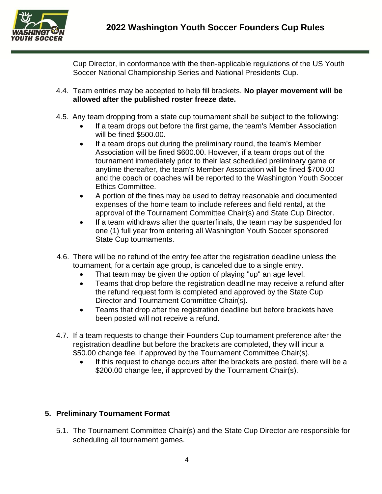

Cup Director, in conformance with the then-applicable regulations of the US Youth Soccer National Championship Series and National Presidents Cup.

- 4.4. Team entries may be accepted to help fill brackets. **No player movement will be allowed after the published roster freeze date.**
- 4.5. Any team dropping from a state cup tournament shall be subject to the following:
	- If a team drops out before the first game, the team's Member Association will be fined \$500.00.
	- If a team drops out during the preliminary round, the team's Member Association will be fined \$600.00. However, if a team drops out of the tournament immediately prior to their last scheduled preliminary game or anytime thereafter, the team's Member Association will be fined \$700.00 and the coach or coaches will be reported to the Washington Youth Soccer Ethics Committee.
	- A portion of the fines may be used to defray reasonable and documented expenses of the home team to include referees and field rental, at the approval of the Tournament Committee Chair(s) and State Cup Director.
	- If a team withdraws after the quarterfinals, the team may be suspended for one (1) full year from entering all Washington Youth Soccer sponsored State Cup tournaments.
- 4.6. There will be no refund of the entry fee after the registration deadline unless the tournament, for a certain age group, is canceled due to a single entry.
	- That team may be given the option of playing "up" an age level.
	- Teams that drop before the registration deadline may receive a refund after the refund request form is completed and approved by the State Cup Director and Tournament Committee Chair(s).
	- Teams that drop after the registration deadline but before brackets have been posted will not receive a refund.
- 4.7. If a team requests to change their Founders Cup tournament preference after the registration deadline but before the brackets are completed, they will incur a \$50.00 change fee, if approved by the Tournament Committee Chair(s).
	- If this request to change occurs after the brackets are posted, there will be a \$200.00 change fee, if approved by the Tournament Chair(s).

## **5. Preliminary Tournament Format**

5.1. The Tournament Committee Chair(s) and the State Cup Director are responsible for scheduling all tournament games.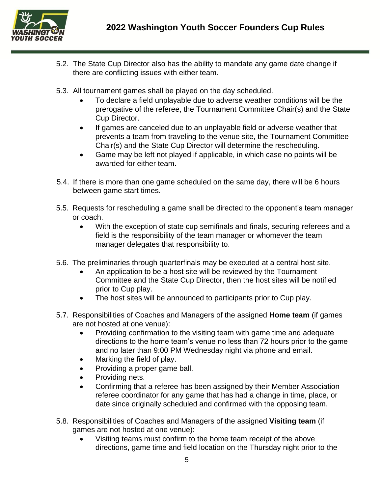

- 5.2. The State Cup Director also has the ability to mandate any game date change if there are conflicting issues with either team.
- 5.3. All tournament games shall be played on the day scheduled.
	- To declare a field unplayable due to adverse weather conditions will be the prerogative of the referee, the Tournament Committee Chair(s) and the State Cup Director.
	- If games are canceled due to an unplayable field or adverse weather that prevents a team from traveling to the venue site, the Tournament Committee Chair(s) and the State Cup Director will determine the rescheduling.
	- Game may be left not played if applicable, in which case no points will be awarded for either team.
- 5.4. If there is more than one game scheduled on the same day, there will be 6 hours between game start times.
- 5.5. Requests for rescheduling a game shall be directed to the opponent's team manager or coach.
	- With the exception of state cup semifinals and finals, securing referees and a field is the responsibility of the team manager or whomever the team manager delegates that responsibility to.
- 5.6. The preliminaries through quarterfinals may be executed at a central host site.
	- An application to be a host site will be reviewed by the Tournament Committee and the State Cup Director, then the host sites will be notified prior to Cup play.
	- The host sites will be announced to participants prior to Cup play.
- 5.7. Responsibilities of Coaches and Managers of the assigned **Home team** (if games are not hosted at one venue):
	- Providing confirmation to the visiting team with game time and adequate directions to the home team's venue no less than 72 hours prior to the game and no later than 9:00 PM Wednesday night via phone and email.
	- Marking the field of play.
	- Providing a proper game ball.
	- Providing nets.
	- Confirming that a referee has been assigned by their Member Association referee coordinator for any game that has had a change in time, place, or date since originally scheduled and confirmed with the opposing team.
- 5.8. Responsibilities of Coaches and Managers of the assigned **Visiting team** (if games are not hosted at one venue):
	- Visiting teams must confirm to the home team receipt of the above directions, game time and field location on the Thursday night prior to the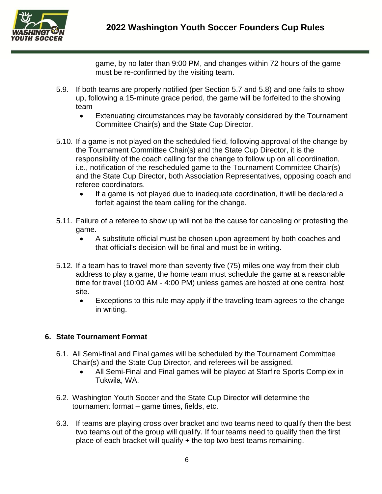

game, by no later than 9:00 PM, and changes within 72 hours of the game must be re-confirmed by the visiting team.

- 5.9. If both teams are properly notified (per Section 5.7 and 5.8) and one fails to show up, following a 15-minute grace period, the game will be forfeited to the showing team
	- Extenuating circumstances may be favorably considered by the Tournament Committee Chair(s) and the State Cup Director.
- 5.10. If a game is not played on the scheduled field, following approval of the change by the Tournament Committee Chair(s) and the State Cup Director, it is the responsibility of the coach calling for the change to follow up on all coordination, i.e., notification of the rescheduled game to the Tournament Committee Chair(s) and the State Cup Director, both Association Representatives, opposing coach and referee coordinators.
	- If a game is not played due to inadequate coordination, it will be declared a forfeit against the team calling for the change.
- 5.11. Failure of a referee to show up will not be the cause for canceling or protesting the game.
	- A substitute official must be chosen upon agreement by both coaches and that official's decision will be final and must be in writing.
- 5.12. If a team has to travel more than seventy five (75) miles one way from their club address to play a game, the home team must schedule the game at a reasonable time for travel (10:00 AM - 4:00 PM) unless games are hosted at one central host site.
	- Exceptions to this rule may apply if the traveling team agrees to the change in writing.

## **6. State Tournament Format**

- 6.1. All Semi-final and Final games will be scheduled by the Tournament Committee Chair(s) and the State Cup Director, and referees will be assigned.
	- All Semi-Final and Final games will be played at Starfire Sports Complex in Tukwila, WA.
- 6.2. Washington Youth Soccer and the State Cup Director will determine the tournament format – game times, fields, etc.
- 6.3. If teams are playing cross over bracket and two teams need to qualify then the best two teams out of the group will qualify. If four teams need to qualify then the first place of each bracket will qualify + the top two best teams remaining.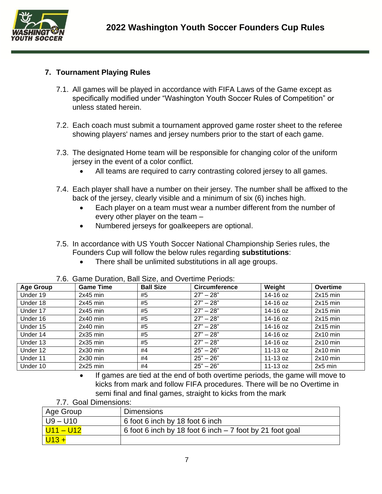

## **7. Tournament Playing Rules**

- 7.1. All games will be played in accordance with FIFA Laws of the Game except as specifically modified under "Washington Youth Soccer Rules of Competition" or unless stated herein.
- 7.2. Each coach must submit a tournament approved game roster sheet to the referee showing players' names and jersey numbers prior to the start of each game.
- 7.3. The designated Home team will be responsible for changing color of the uniform jersey in the event of a color conflict.
	- All teams are required to carry contrasting colored jersey to all games.
- 7.4. Each player shall have a number on their jersey. The number shall be affixed to the back of the jersey, clearly visible and a minimum of six (6) inches high.
	- Each player on a team must wear a number different from the number of every other player on the team –
	- Numbered jerseys for goalkeepers are optional.
- 7.5. In accordance with US Youth Soccer National Championship Series rules, the Founders Cup will follow the below rules regarding **substitutions**:
	- There shall be unlimited substitutions in all age groups.

| <b>Age Group</b> | <b>Game Time</b> | <b>Ball Size</b> | <b>Circumference</b> | Weight     | Overtime   |
|------------------|------------------|------------------|----------------------|------------|------------|
| Under 19         | $2x45$ min       | #5               | $27" - 28"$          | 14-16 oz   | $2x15$ min |
| Under 18         | $2x45$ min       | #5               | $27" - 28"$          | 14-16 oz   | $2x15$ min |
| Under 17         | $2x45$ min       | #5               | $27" - 28"$          | 14-16 oz   | $2x15$ min |
| Under 16         | $2x40$ min       | #5               | $27" - 28"$          | 14-16 oz   | $2x15$ min |
| Under 15         | $2x40$ min       | #5               | $27" - 28"$          | 14-16 oz   | $2x15$ min |
| Under 14         | $2x35$ min       | #5               | $27" - 28"$          | 14-16 oz   | $2x10$ min |
| Under 13         | $2x35$ min       | #5               | $27" - 28"$          | 14-16 oz   | $2x10$ min |
| Under 12         | $2x30$ min       | #4               | $25" - 26"$          | $11-13$ oz | $2x10$ min |
| Under 11         | $2x30$ min       | #4               | $25" - 26"$          | $11-13$ oz | $2x10$ min |
| Under 10         | $2x25$ min       | #4               | $25" - 26"$          | 11-13 oz   | $2x5$ min  |

7.6. Game Duration, Ball Size, and Overtime Periods:

- If games are tied at the end of both overtime periods, the game will move to kicks from mark and follow FIFA procedures. There will be no Overtime in semi final and final games, straight to kicks from the mark
- 7.7. Goal Dimensions:

| Age Group              | <b>Dimensions</b>                                         |
|------------------------|-----------------------------------------------------------|
| $U9 - U10$             | 6 foot 6 inch by 18 foot 6 inch                           |
| <mark>U11 – U12</mark> | 6 foot 6 inch by 18 foot 6 inch $-7$ foot by 21 foot goal |
| $ U13+$                |                                                           |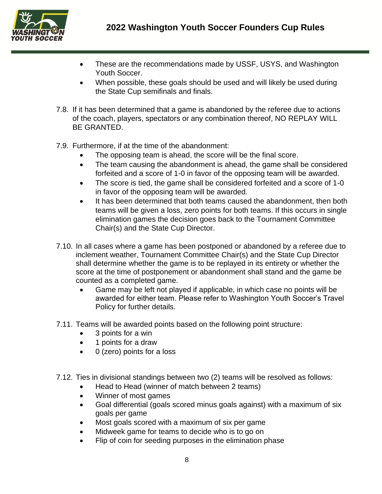

- These are the recommendations made by USSF, USYS, and Washington Youth Soccer.
- When possible, these goals should be used and will likely be used during the State Cup semifinals and finals.
- 7.8. If it has been determined that a game is abandoned by the referee due to actions of the coach, players, spectators or any combination thereof, NO REPLAY WILL BE GRANTED.
- 7.9. Furthermore, if at the time of the abandonment:
	- The opposing team is ahead, the score will be the final score.
	- The team causing the abandonment is ahead, the game shall be considered forfeited and a score of 1-0 in favor of the opposing team will be awarded.
	- The score is tied, the game shall be considered forfeited and a score of 1-0 in favor of the opposing team will be awarded.
	- It has been determined that both teams caused the abandonment, then both teams will be given a loss, zero points for both teams. If this occurs in single elimination games the decision goes back to the Tournament Committee Chair(s) and the State Cup Director.
- 7.10. In all cases where a game has been postponed or abandoned by a referee due to inclement weather, Tournament Committee Chair(s) and the State Cup Director shall determine whether the game is to be replayed in its entirety or whether the score at the time of postponement or abandonment shall stand and the game be counted as a completed game.
	- Game may be left not played if applicable, in which case no points will be awarded for either team. Please refer to Washington Youth Soccer's Travel Policy for further details.
- 7.11. Teams will be awarded points based on the following point structure:
	- 3 points for a win
	- 1 points for a draw
	- 0 (zero) points for a loss
- 7.12. Ties in divisional standings between two (2) teams will be resolved as follows:
	- Head to Head (winner of match between 2 teams)
	- Winner of most games
	- Goal differential (goals scored minus goals against) with a maximum of six goals per game
	- Most goals scored with a maximum of six per game
	- Midweek game for teams to decide who is to go on
	- Flip of coin for seeding purposes in the elimination phase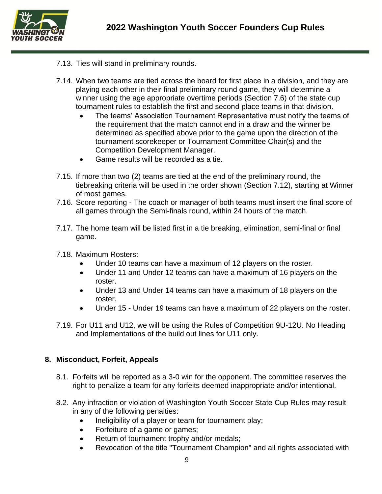

- 7.13. Ties will stand in preliminary rounds.
- 7.14. When two teams are tied across the board for first place in a division, and they are playing each other in their final preliminary round game, they will determine a winner using the age appropriate overtime periods (Section 7.6) of the state cup tournament rules to establish the first and second place teams in that division.
	- The teams' Association Tournament Representative must notify the teams of the requirement that the match cannot end in a draw and the winner be determined as specified above prior to the game upon the direction of the tournament scorekeeper or Tournament Committee Chair(s) and the Competition Development Manager.
	- Game results will be recorded as a tie.
- 7.15. If more than two (2) teams are tied at the end of the preliminary round, the tiebreaking criteria will be used in the order shown (Section 7.12), starting at Winner of most games.
- 7.16. Score reporting The coach or manager of both teams must insert the final score of all games through the Semi-finals round, within 24 hours of the match.
- 7.17. The home team will be listed first in a tie breaking, elimination, semi-final or final game.
- 7.18. Maximum Rosters:
	- Under 10 teams can have a maximum of 12 players on the roster.
	- Under 11 and Under 12 teams can have a maximum of 16 players on the roster.
	- Under 13 and Under 14 teams can have a maximum of 18 players on the roster.
	- Under 15 Under 19 teams can have a maximum of 22 players on the roster.
- 7.19. For U11 and U12, we will be using the Rules of Competition 9U-12U. No Heading and Implementations of the build out lines for U11 only.

### **8. Misconduct, Forfeit, Appeals**

- 8.1. Forfeits will be reported as a 3-0 win for the opponent. The committee reserves the right to penalize a team for any forfeits deemed inappropriate and/or intentional.
- 8.2. Any infraction or violation of Washington Youth Soccer State Cup Rules may result in any of the following penalties:
	- Ineligibility of a player or team for tournament play;
	- Forfeiture of a game or games;
	- Return of tournament trophy and/or medals;
	- Revocation of the title "Tournament Champion" and all rights associated with